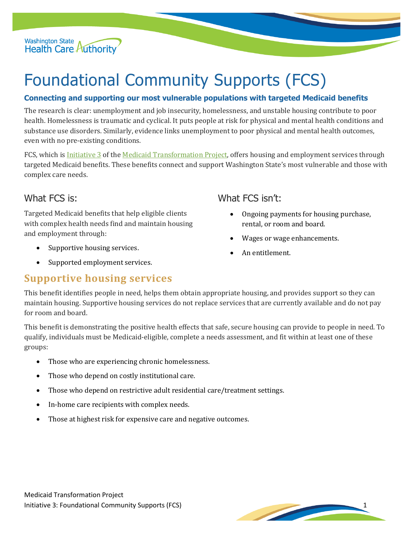Washington State<br>Health Care Authority

# Foundational Community Supports (FCS)

#### **Connecting and supporting our most vulnerable populations with targeted Medicaid benefits**

The research is clear: unemployment and job insecurity, homelessness, and unstable housing contribute to poor health. Homelessness is traumatic and cyclical. It puts people at risk for physical and mental health conditions and substance use disorders. Similarly, evidence links unemployment to poor physical and mental health outcomes, even with no pre-existing conditions.

FCS, which is **Initiative 3** of the **Medicaid Transformation Project**, offers housing and employment services through targeted Medicaid benefits. These benefits connect and support Washington State's most vulnerable and those with complex care needs.

### What FCS is:

Targeted Medicaid benefits that help eligible clients with complex health needs find and maintain housing and employment through:

- Supportive housing services.
- Supported employment services.

### What FCS isn't:

- Ongoing payments for housing purchase, rental, or room and board.
- Wages or wage enhancements.
- An entitlement.

## **Supportive housing services**

This benefit identifies people in need, helps them obtain appropriate housing, and provides support so they can maintain housing. Supportive housing services do not replace services that are currently available and do not pay for room and board.

This benefit is demonstrating the positive health effects that safe, secure housing can provide to people in need. To qualify, individuals must be Medicaid-eligible, complete a needs assessment, and fit within at least one of these groups:

- Those who are experiencing chronic homelessness.
- Those who depend on costly institutional care.
- Those who depend on restrictive adult residential care/treatment settings.
- In-home care recipients with complex needs.
- Those at highest risk for expensive care and negative outcomes.